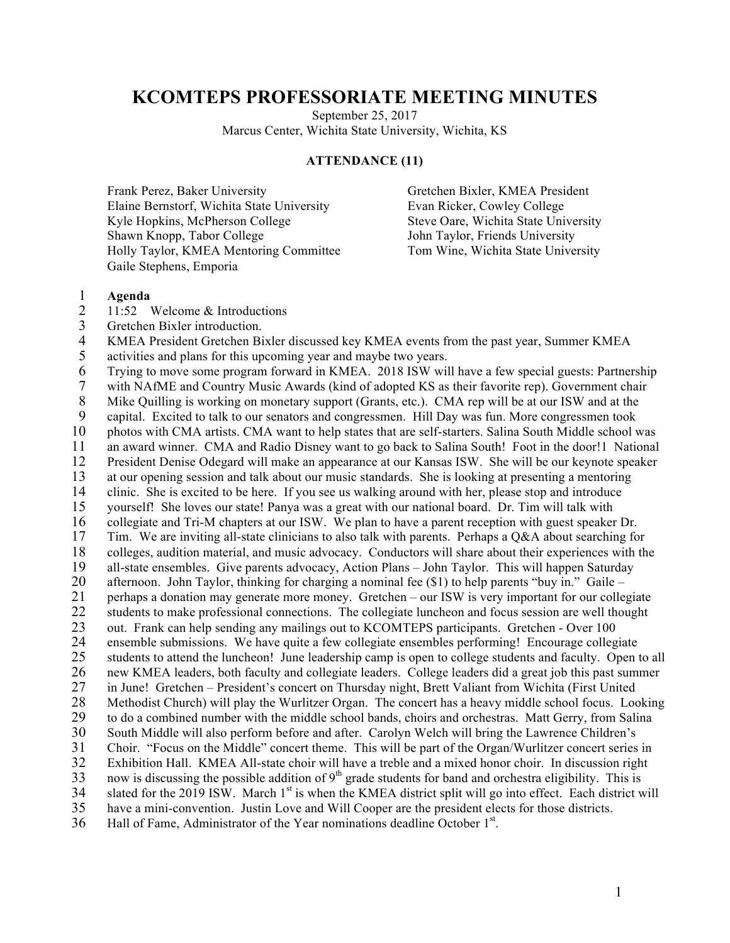## **KCOMTEPS PROFESSORIATE MEETING MINUTES**

September 25, 2017 Marcus Center, Wichita State University, Wichita, KS

## **ATTENDANCE (11)**

Frank Perez, Baker University Gretchen Bixler, KMEA President Elaine Bernstorf, Wichita State University Evan Ricker, Cowley College Kyle Hopkins, McPherson College Steve Oare, Wichita State University Shawn Knopp, Tabor College  $John Taylor, Friends University$ Holly Taylor, KMEA Mentoring Committee Tom Wine, Wichita State University Gaile Stephens, Emporia

## 1 **Agenda**

- 11:52 Welcome & Introductions
- 3 Gretchen Bixler introduction.<br>4 KMEA President Gretchen Bi

4 KMEA President Gretchen Bixler discussed key KMEA events from the past year, Summer KMEA activities and plans for this upcoming year and maybe two years.

activities and plans for this upcoming year and maybe two years.

6 Trying to move some program forward in KMEA. 2018 ISW will have a few special guests: Partnership 7 with NAfME and Country Music Awards (kind of adopted KS as their favorite rep). Government chair<br>8 Mike Quilling is working on monetary support (Grants, etc.). CMA rep will be at our ISW and at the Mike Quilling is working on monetary support (Grants, etc.). CMA rep will be at our ISW and at the 9 capital. Excited to talk to our senators and congressmen. Hill Day was fun. More congressmen took 10 photos with CMA artists. CMA want to help states that are self-starters. Salina South Middle school was an award winner. CMA and Radio Disney want to go back to Salina South! Foot in the door! 1 National 11 an award winner. CMA and Radio Disney want to go back to Salina South! Foot in the door!1 National 12 President Denise Odegard will make an appearance at our Kansas ISW. She will be our keynote speaker 12 President Denise Odegard will make an appearance at our Kansas ISW. She will be our keynote speaker 13 at our opening session and talk about our music standards. She is looking at presenting a mentoring clinic. She is excited to be here. If you see us walking around with her, please stop and introduce clinic. She is excited to be here. If you see us walking around with her, please stop and introduce 15 yourself! She loves our state! Panya was a great with our national board. Dr. Tim will talk with 16 collegiate and Tri-M chapters at our ISW. We plan to have a parent reception with guest speaker Dr. 17 Tim. We are inviting all-state clinicians to also talk with parents. Perhaps a Q&A about searching for colleges, audition material, and music advocacy. Conductors will share about their experiences with the 18 colleges, audition material, and music advocacy. Conductors will share about their experiences with the 19 all-state ensembles. Give parents advocacy, Action Plans – John Taylor. This will happen Saturday 20 afternoon. John Taylor, thinking for charging a nominal fee (\$1) to help parents "buy in." Gaile –<br>21 perhaps a donation may generate more money. Gretchen – our ISW is very important for our college 21 perhaps a donation may generate more money. Gretchen – our ISW is very important for our collegiate 22 students to make professional connections. The collegiate luncheon and focus session are well thought 23 out. Frank can help sending any mailings out to KCOMTEPS participants. Gretchen - Over 100<br>24 ensemble submissions. We have quite a few collegiate ensembles performing! Encourage colleg 24 ensemble submissions. We have quite a few collegiate ensembles performing! Encourage collegiate<br>25 students to attend the luncheon! June leadership camp is open to college students and faculty. Open t 25 students to attend the luncheon! June leadership camp is open to college students and faculty. Open to all 26 new KMEA leaders, both faculty and collegiate leaders. College leaders did a great job this past summer<br>27 in June! Gretchen – President's concert on Thursday night, Brett Valiant from Wichita (First United 27 in June! Gretchen – President's concert on Thursday night, Brett Valiant from Wichita (First United 28 Methodist Church) will play the Wurlitzer Organ. The concert has a heavy middle school focus. Looking 29 to do a combined number with the middle school bands, choirs and orchestras. Matt Gerry, from Salina 30 South Middle will also perform before and after. Carolyn Welch will bring the Lawrence Children's<br>31 Choir. "Focus on the Middle" concert theme. This will be part of the Organ/Wurlitzer concert series 31 Choir. "Focus on the Middle" concert theme. This will be part of the Organ/Wurlitzer concert series in<br>32 Exhibition Hall. KMEA All-state choir will have a treble and a mixed honor choir. In discussion right Exhibition Hall. KMEA All-state choir will have a treble and a mixed honor choir. In discussion right 33 now is discussing the possible addition of  $9<sup>th</sup>$  grade students for band and orchestra eligibility. This is 34 slated for the 2019 ISW. March  $1<sup>st</sup>$  is when the KMEA district split will go into effect. Each district will 35 have a mini-convention. Justin Love and Will Cooper are the president elects for those districts. 36 Hall of Fame, Administrator of the Year nominations deadline October  $1<sup>st</sup>$ .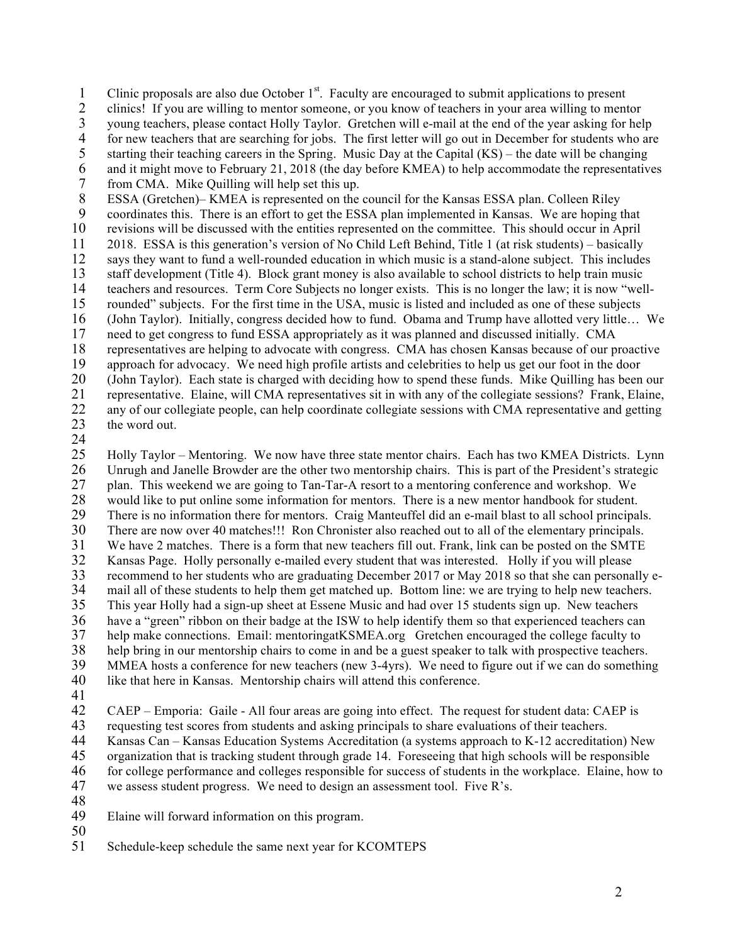Clinic proposals are also due October  $1<sup>st</sup>$ . Faculty are encouraged to submit applications to present clinics! If you are willing to mentor someone, or you know of teachers in your area willing to ment

2 clinics! If you are willing to mentor someone, or you know of teachers in your area willing to mentor

3 young teachers, please contact Holly Taylor. Gretchen will e-mail at the end of the year asking for help<br>4 for new teachers that are searching for jobs. The first letter will go out in December for students who are

4 for new teachers that are searching for jobs. The first letter will go out in December for students who are starting their teaching careers in the Spring. Music Day at the Capital (KS) – the date will be changing

starting their teaching careers in the Spring. Music Day at the Capital  $(KS)$  – the date will be changing

6 and it might move to February 21, 2018 (the day before KMEA) to help accommodate the representatives from CMA. Mike Quilling will help set this up. from CMA. Mike Quilling will help set this up.

8 ESSA (Gretchen)– KMEA is represented on the council for the Kansas ESSA plan. Colleen Riley

9 coordinates this. There is an effort to get the ESSA plan implemented in Kansas. We are hoping that

10 revisions will be discussed with the entities represented on the committee. This should occur in April

11 2018. ESSA is this generation's version of No Child Left Behind, Title 1 (at risk students) – basically

12 says they want to fund a well-rounded education in which music is a stand-alone subject. This includes 13 staff development (Title 4). Block grant money is also available to school districts to help train music

14 teachers and resources. Term Core Subjects no longer exists. This is no longer the law; it is now "well-

15 rounded" subjects. For the first time in the USA, music is listed and included as one of these subjects

16 (John Taylor). Initially, congress decided how to fund. Obama and Trump have allotted very little... We need to get congress to fund ESSA appropriately as it was planned and discussed initially. CMA

need to get congress to fund ESSA appropriately as it was planned and discussed initially. CMA

18 representatives are helping to advocate with congress. CMA has chosen Kansas because of our proactive approach for advocacy. We need high profile artists and celebrities to help us get our foot in the door

19 approach for advocacy. We need high profile artists and celebrities to help us get our foot in the door

20 (John Taylor). Each state is charged with deciding how to spend these funds. Mike Quilling has been our 21 representative. Elaine, will CMA representatives sit in with any of the collegiate sessions? Frank, Elaine, 22 any of our collegiate people, can help coordinate collegiate sessions with CMA representative and getting<br>23 the word out. the word out.

 $\frac{24}{25}$ 25 Holly Taylor – Mentoring. We now have three state mentor chairs. Each has two KMEA Districts. Lynn 26 Unrugh and Janelle Browder are the other two mentorship chairs. This is part of the President's strategic plan. This weekend we are going to Tan-Tar-A resort to a mentoring conference and workshop. We 27 plan. This weekend we are going to Tan-Tar-A resort to a mentoring conference and workshop. We 28 would like to put online some information for mentors. There is a new mentor handbook for student. 29 There is no information there for mentors. Craig Manteuffel did an e-mail blast to all school principals. 30 There are now over 40 matches!!! Ron Chronister also reached out to all of the elementary principals. 31 We have 2 matches. There is a form that new teachers fill out. Frank, link can be posted on the SMTE<br>32 Kansas Page. Holly personally e-mailed every student that was interested. Holly if you will please 32 Kansas Page. Holly personally e-mailed every student that was interested. Holly if you will please 33 recommend to her students who are graduating December 2017 or May 2018 so that she can personally e-<br>34 mail all of these students to help them get matched up. Bottom line: we are trying to help new teachers. 34 mail all of these students to help them get matched up. Bottom line: we are trying to help new teachers.<br>35 This year Holly had a sign-up sheet at Essene Music and had over 15 students sign up. New teachers This year Holly had a sign-up sheet at Essene Music and had over 15 students sign up. New teachers 36 have a "green" ribbon on their badge at the ISW to help identify them so that experienced teachers can<br>37 help make connections. Email: mentoringatKSMEA.org Gretchen encouraged the college faculty to 37 help make connections. Email: mentoringatKSMEA.org Gretchen encouraged the college faculty to<br>38 help bring in our mentorship chairs to come in and be a guest speaker to talk with prospective teachers help bring in our mentorship chairs to come in and be a guest speaker to talk with prospective teachers. 39 MMEA hosts a conference for new teachers (new 3-4yrs). We need to figure out if we can do something 40 like that here in Kansas. Mentorship chairs will attend this conference.

41<br>42

42 CAEP – Emporia: Gaile - All four areas are going into effect. The request for student data: CAEP is

43 requesting test scores from students and asking principals to share evaluations of their teachers.<br>44 Kansas Can – Kansas Education Systems Accreditation (a systems approach to K-12 accreditation

44 Kansas Can – Kansas Education Systems Accreditation (a systems approach to K-12 accreditation) New

45 organization that is tracking student through grade 14. Foreseeing that high schools will be responsible

- 46 for college performance and colleges responsible for success of students in the workplace. Elaine, how to we assess student progress. We need to design an assessment tool. Five R's. we assess student progress. We need to design an assessment tool. Five R's.
- 48

49 Elaine will forward information on this program.

50

51 Schedule-keep schedule the same next year for KCOMTEPS